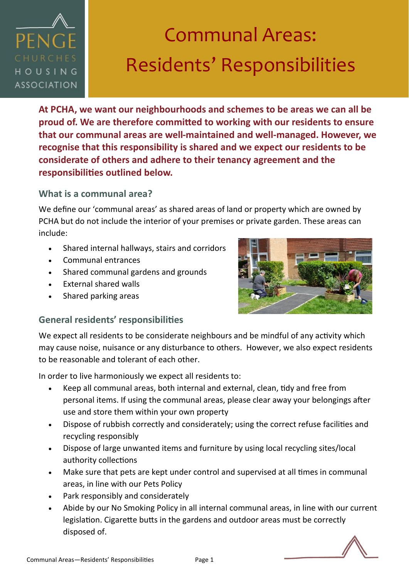

**At PCHA, we want our neighbourhoods and schemes to be areas we can all be proud of. We are therefore committed to working with our residents to ensure that our communal areas are well-maintained and well-managed. However, we recognise that this responsibility is shared and we expect our residents to be considerate of others and adhere to their tenancy agreement and the responsibilities outlined below.** 

### **What is a communal area?**

We define our 'communal areas' as shared areas of land or property which are owned by PCHA but do not include the interior of your premises or private garden. These areas can include:

- Shared internal hallways, stairs and corridors
- Communal entrances
- Shared communal gardens and grounds
- External shared walls
- Shared parking areas



# **General residents' responsibilities**

We expect all residents to be considerate neighbours and be mindful of any activity which may cause noise, nuisance or any disturbance to others. However, we also expect residents to be reasonable and tolerant of each other.

In order to live harmoniously we expect all residents to:

- Keep all communal areas, both internal and external, clean, tidy and free from personal items. If using the communal areas, please clear away your belongings after use and store them within your own property
- Dispose of rubbish correctly and considerately; using the correct refuse facilities and recycling responsibly
- Dispose of large unwanted items and furniture by using local recycling sites/local authority collections
- Make sure that pets are kept under control and supervised at all times in communal areas, in line with our Pets Policy
- Park responsibly and considerately
- Abide by our No Smoking Policy in all internal communal areas, in line with our current legislation. Cigarette butts in the gardens and outdoor areas must be correctly disposed of.

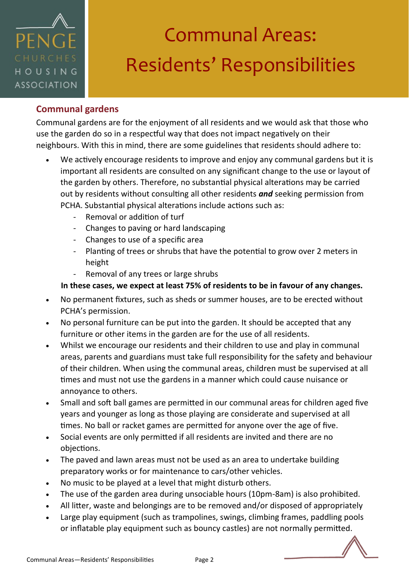

## **Communal gardens**

Communal gardens are for the enjoyment of all residents and we would ask that those who use the garden do so in a respectful way that does not impact negatively on their neighbours. With this in mind, there are some guidelines that residents should adhere to:

- We actively encourage residents to improve and enjoy any communal gardens but it is important all residents are consulted on any significant change to the use or layout of the garden by others. Therefore, no substantial physical alterations may be carried out by residents without consulting all other residents *and* seeking permission from PCHA. Substantial physical alterations include actions such as:
	- Removal or addition of turf
	- Changes to paving or hard landscaping
	- Changes to use of a specific area
	- Planting of trees or shrubs that have the potential to grow over 2 meters in height
	- Removal of any trees or large shrubs

#### **In these cases, we expect at least 75% of residents to be in favour of any changes.**

- No permanent fixtures, such as sheds or summer houses, are to be erected without PCHA's permission.
- No personal furniture can be put into the garden. It should be accepted that any furniture or other items in the garden are for the use of all residents.
- Whilst we encourage our residents and their children to use and play in communal areas, parents and guardians must take full responsibility for the safety and behaviour of their children. When using the communal areas, children must be supervised at all times and must not use the gardens in a manner which could cause nuisance or annoyance to others.
- Small and soft ball games are permitted in our communal areas for children aged five years and younger as long as those playing are considerate and supervised at all times. No ball or racket games are permitted for anyone over the age of five.
- Social events are only permitted if all residents are invited and there are no objections.
- The paved and lawn areas must not be used as an area to undertake building preparatory works or for maintenance to cars/other vehicles.
- No music to be played at a level that might disturb others.
- The use of the garden area during unsociable hours (10pm-8am) is also prohibited.
- All litter, waste and belongings are to be removed and/or disposed of appropriately
- Large play equipment (such as trampolines, swings, climbing frames, paddling pools or inflatable play equipment such as bouncy castles) are not normally permitted.

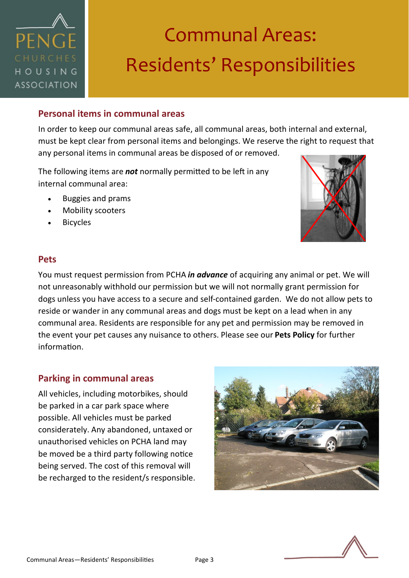

### **Personal items in communal areas**

In order to keep our communal areas safe, all communal areas, both internal and external, must be kept clear from personal items and belongings. We reserve the right to request that any personal items in communal areas be disposed of or removed.

The following items are *not* normally permitted to be left in any internal communal area:

- Buggies and prams
- Mobility scooters
- **Bicycles**



#### **Pets**

You must request permission from PCHA *in advance* of acquiring any animal or pet. We will not unreasonably withhold our permission but we will not normally grant permission for dogs unless you have access to a secure and self-contained garden. We do not allow pets to reside or wander in any communal areas and dogs must be kept on a lead when in any communal area. Residents are responsible for any pet and permission may be removed in the event your pet causes any nuisance to others. Please see our **Pets Policy** for further information.

#### **Parking in communal areas**

All vehicles, including motorbikes, should be parked in a car park space where possible. All vehicles must be parked considerately. Any abandoned, untaxed or unauthorised vehicles on PCHA land may be moved be a third party following notice being served. The cost of this removal will be recharged to the resident/s responsible.